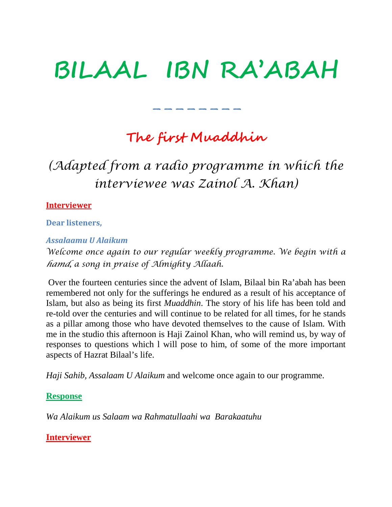# **BILAAL IBN RA'ABAH**

### **The first Muaddhin**

--------

## *(Adapted from a radio programme in which the interviewee was Zainol A. Khan)*

#### **Interviewer**

**Dear listeners,** 

#### *Assalaamu U Alaikum*

*Welcome once again to our regular weekly programme. We begin with a hamd, a song in praise of Almighty Allaah.*

Over the fourteen centuries since the advent of Islam, Bilaal bin Ra'abah has been remembered not only for the sufferings he endured as a result of his acceptance of Islam, but also as being its first *Muaddhin*. The story of his life has been told and re-told over the centuries and will continue to be related for all times, for he stands as a pillar among those who have devoted themselves to the cause of Islam. With me in the studio this afternoon is Haji Zainol Khan, who will remind us, by way of responses to questions which l will pose to him, of some of the more important aspects of Hazrat Bilaal's life.

*Haji Sahib, Assalaam U Alaikum* and welcome once again to our programme.

#### **Response**

*Wa Alaikum us Salaam wa Rahmatullaahi wa Barakaatuhu*

#### **Interviewer**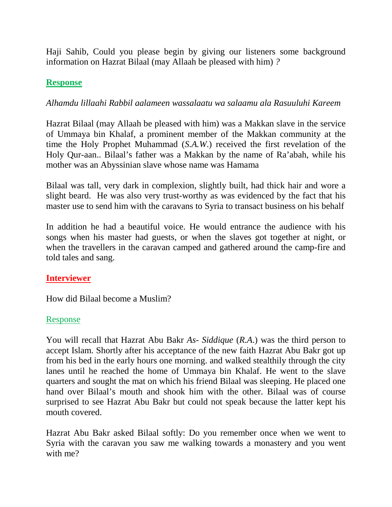Haji Sahib, Could you please begin by giving our listeners some background information on Hazrat Bilaal (may Allaah be pleased with him) *?*

#### **Response**

#### *Alhamdu lillaahi Rabbil aalameen wassalaatu wa salaamu ala Rasuuluhi Kareem*

Hazrat Bilaal (may Allaah be pleased with him) was a Makkan slave in the service of Ummaya bin Khalaf, a prominent member of the Makkan community at the time the Holy Prophet Muhammad (*S.A.W*.) received the first revelation of the Holy Qur-aan.. Bilaal's father was a Makkan by the name of Ra'abah, while his mother was an Abyssinian slave whose name was Hamama

Bilaal was tall, very dark in complexion, slightly built, had thick hair and wore a slight beard. He was also very trust-worthy as was evidenced by the fact that his master use to send him with the caravans to Syria to transact business on his behalf

In addition he had a beautiful voice. He would entrance the audience with his songs when his master had guests, or when the slaves got together at night, or when the travellers in the caravan camped and gathered around the camp-fire and told tales and sang.

#### **Interviewer**

How did Bilaal become a Muslim?

#### Response

You will recall that Hazrat Abu Bakr *As- Siddique* (*R.A*.) was the third person to accept Islam. Shortly after his acceptance of the new faith Hazrat Abu Bakr got up from his bed in the early hours one morning. and walked stealthily through the city lanes until he reached the home of Ummaya bin Khalaf. He went to the slave quarters and sought the mat on which his friend Bilaal was sleeping. He placed one hand over Bilaal's mouth and shook him with the other. Bilaal was of course surprised to see Hazrat Abu Bakr but could not speak because the latter kept his mouth covered.

Hazrat Abu Bakr asked Bilaal softly: Do you remember once when we went to Syria with the caravan you saw me walking towards a monastery and you went with me?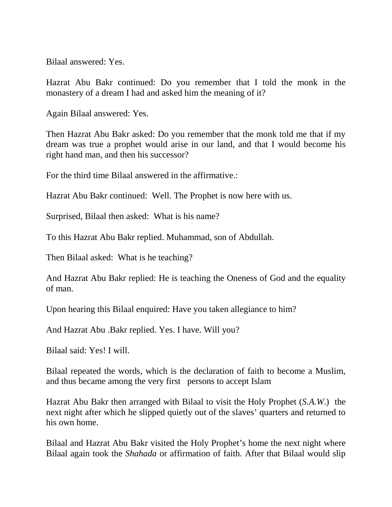Bilaal answered: Yes.

Hazrat Abu Bakr continued: Do you remember that I told the monk in the monastery of a dream I had and asked him the meaning of it?

Again Bilaal answered: Yes.

Then Hazrat Abu Bakr asked: Do you remember that the monk told me that if my dream was true a prophet would arise in our land, and that I would become his right hand man, and then his successor?

For the third time Bilaal answered in the affirmative.:

Hazrat Abu Bakr continued: Well. The Prophet is now here with us.

Surprised, Bilaal then asked: What is his name?

To this Hazrat Abu Bakr replied. Muhammad, son of Abdullah.

Then Bilaal asked: What is he teaching?

And Hazrat Abu Bakr replied: He is teaching the Oneness of God and the equality of man.

Upon hearing this Bilaal enquired: Have you taken allegiance to him?

And Hazrat Abu .Bakr replied. Yes. I have. Will you?

Bilaal said: Yes! I will.

Bilaal repeated the words, which is the declaration of faith to become a Muslim, and thus became among the very first persons to accept Islam

Hazrat Abu Bakr then arranged with Bilaal to visit the Holy Prophet (*S.A.W*.) the next night after which he slipped quietly out of the slaves' quarters and returned to his own home.

Bilaal and Hazrat Abu Bakr visited the Holy Prophet's home the next night where Bilaal again took the *Shahada* or affirmation of faith. After that Bilaal would slip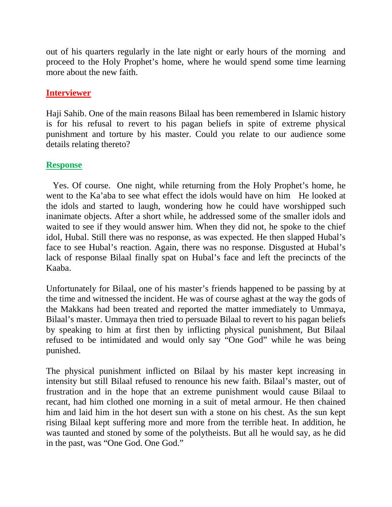out of his quarters regularly in the late night or early hours of the morning and proceed to the Holy Prophet's home, where he would spend some time learning more about the new faith.

#### **Interviewer**

Haji Sahib. One of the main reasons Bilaal has been remembered in Islamic history is for his refusal to revert to his pagan beliefs in spite of extreme physical punishment and torture by his master. Could you relate to our audience some details relating thereto?

#### **Response**

 Yes. Of course. One night, while returning from the Holy Prophet's home, he went to the Ka'aba to see what effect the idols would have on him He looked at the idols and started to laugh, wondering how he could have worshipped such inanimate objects. After a short while, he addressed some of the smaller idols and waited to see if they would answer him. When they did not, he spoke to the chief idol, Hubal. Still there was no response, as was expected. He then slapped Hubal's face to see Hubal's reaction. Again, there was no response. Disgusted at Hubal's lack of response Bilaal finally spat on Hubal's face and left the precincts of the Kaaba.

Unfortunately for Bilaal, one of his master's friends happened to be passing by at the time and witnessed the incident. He was of course aghast at the way the gods of the Makkans had been treated and reported the matter immediately to Ummaya, Bilaal's master. Ummaya then tried to persuade Bilaal to revert to his pagan beliefs by speaking to him at first then by inflicting physical punishment, But Bilaal refused to be intimidated and would only say "One God" while he was being punished.

The physical punishment inflicted on Bilaal by his master kept increasing in intensity but still Bilaal refused to renounce his new faith. Bilaal's master, out of frustration and in the hope that an extreme punishment would cause Bilaal to recant, had him clothed one morning in a suit of metal armour. He then chained him and laid him in the hot desert sun with a stone on his chest. As the sun kept rising Bilaal kept suffering more and more from the terrible heat. In addition, he was taunted and stoned by some of the polytheists. But all he would say, as he did in the past, was "One God. One God."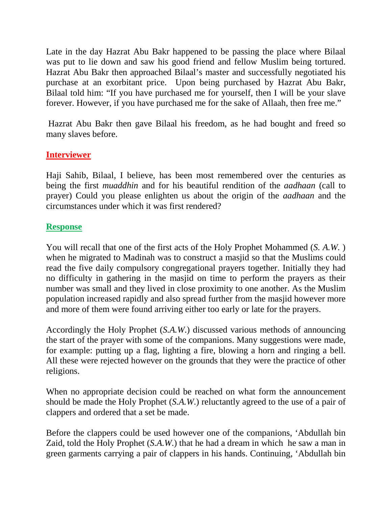Late in the day Hazrat Abu Bakr happened to be passing the place where Bilaal was put to lie down and saw his good friend and fellow Muslim being tortured. Hazrat Abu Bakr then approached Bilaal's master and successfully negotiated his purchase at an exorbitant price. Upon being purchased by Hazrat Abu Bakr, Bilaal told him: "If you have purchased me for yourself, then I will be your slave forever. However, if you have purchased me for the sake of Allaah, then free me."

Hazrat Abu Bakr then gave Bilaal his freedom, as he had bought and freed so many slaves before.

#### **Interviewer**

Haji Sahib, Bilaal, I believe, has been most remembered over the centuries as being the first *muaddhin* and for his beautiful rendition of the *aadhaan* (call to prayer) Could you please enlighten us about the origin of the *aadhaan* and the circumstances under which it was first rendered?

#### **Response**

You will recall that one of the first acts of the Holy Prophet Mohammed (*S. A.W.* ) when he migrated to Madinah was to construct a masjid so that the Muslims could read the five daily compulsory congregational prayers together. Initially they had no difficulty in gathering in the masjid on time to perform the prayers as their number was small and they lived in close proximity to one another. As the Muslim population increased rapidly and also spread further from the masjid however more and more of them were found arriving either too early or late for the prayers.

Accordingly the Holy Prophet (*S.A.W*.) discussed various methods of announcing the start of the prayer with some of the companions. Many suggestions were made, for example: putting up a flag, lighting a fire, blowing a horn and ringing a bell. All these were rejected however on the grounds that they were the practice of other religions.

When no appropriate decision could be reached on what form the announcement should be made the Holy Prophet (*S.A.W*.) reluctantly agreed to the use of a pair of clappers and ordered that a set be made.

Before the clappers could be used however one of the companions, 'Abdullah bin Zaid, told the Holy Prophet (*S.A.W*.) that he had a dream in which he saw a man in green garments carrying a pair of clappers in his hands. Continuing, 'Abdullah bin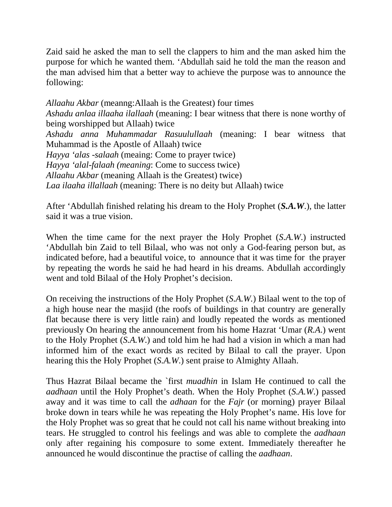Zaid said he asked the man to sell the clappers to him and the man asked him the purpose for which he wanted them. 'Abdullah said he told the man the reason and the man advised him that a better way to achieve the purpose was to announce the following:

*Allaahu Akbar* (meanng:Allaah is the Greatest) four times *Ashadu anlaa illaaha ilallaah* (meaning: I bear witness that there is none worthy of being worshipped but Allaah) twice *Ashadu anna Muhammadar Rasuulullaah* (meaning: I bear witness that Muhammad is the Apostle of Allaah) twice *Hayya 'alas -salaah* (meaing: Come to prayer twice) *Hayya 'alal-falaah (meaning*: Come to success twice) *Allaahu Akbar* (meaning Allaah is the Greatest) twice) *Laa ilaaha illallaah* (meaning: There is no deity but Allaah) twice

After 'Abdullah finished relating his dream to the Holy Prophet (*S.A.W*.), the latter said it was a true vision.

When the time came for the next prayer the Holy Prophet (*S.A.W*.) instructed 'Abdullah bin Zaid to tell Bilaal, who was not only a God-fearing person but, as indicated before, had a beautiful voice, to announce that it was time for the prayer by repeating the words he said he had heard in his dreams. Abdullah accordingly went and told Bilaal of the Holy Prophet's decision.

On receiving the instructions of the Holy Prophet (*S.A.W.*) Bilaal went to the top of a high house near the masjid (the roofs of buildings in that country are generally flat because there is very little rain) and loudly repeated the words as mentioned previously On hearing the announcement from his home Hazrat 'Umar (*R.A*.) went to the Holy Prophet (*S.A.W*.) and told him he had had a vision in which a man had informed him of the exact words as recited by Bilaal to call the prayer. Upon hearing this the Holy Prophet (*S.A.W*.) sent praise to Almighty Allaah.

Thus Hazrat Bilaal became the `first *muadhin* in Islam He continued to call the *aadhaan* until the Holy Prophet's death. When the Holy Prophet (*S.A.W*.) passed away and it was time to call the *adhaan* for the *Fajr* (or morning) prayer Bilaal broke down in tears while he was repeating the Holy Prophet's name. His love for the Holy Prophet was so great that he could not call his name without breaking into tears. He struggled to control his feelings and was able to complete the *aadhaan* only after regaining his composure to some extent. Immediately thereafter he announced he would discontinue the practise of calling the *aadhaan*.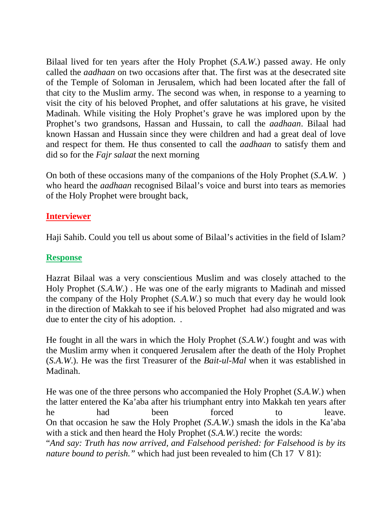Bilaal lived for ten years after the Holy Prophet (*S.A.W*.) passed away. He only called the *aadhaan* on two occasions after that. The first was at the desecrated site of the Temple of Soloman in Jerusalem, which had been located after the fall of that city to the Muslim army. The second was when, in response to a yearning to visit the city of his beloved Prophet, and offer salutations at his grave, he visited Madinah. While visiting the Holy Prophet's grave he was implored upon by the Prophet's two grandsons, Hassan and Hussain, to call the *aadhaan*. Bilaal had known Hassan and Hussain since they were children and had a great deal of love and respect for them. He thus consented to call the *aadhaan* to satisfy them and did so for the *Fajr salaat* the next morning

On both of these occasions many of the companions of the Holy Prophet (*S.A.W*. ) who heard the *aadhaan* recognised Bilaal's voice and burst into tears as memories of the Holy Prophet were brought back,

#### **Interviewer**

Haji Sahib. Could you tell us about some of Bilaal's activities in the field of Islam*?*

#### **Response**

Hazrat Bilaal was a very conscientious Muslim and was closely attached to the Holy Prophet (*S.A.W*.) . He was one of the early migrants to Madinah and missed the company of the Holy Prophet (*S.A.W*.) so much that every day he would look in the direction of Makkah to see if his beloved Prophet had also migrated and was due to enter the city of his adoption. .

He fought in all the wars in which the Holy Prophet (*S.A.W*.) fought and was with the Muslim army when it conquered Jerusalem after the death of the Holy Prophet (*S.A.W*.). He was the first Treasurer of the *Bait-ul*-*Mal* when it was established in Madinah.

He was one of the three persons who accompanied the Holy Prophet (*S.A.W*.) when the latter entered the Ka'aba after his triumphant entry into Makkah ten years after he had been forced to leave. On that occasion he saw the Holy Prophet *(S.A.W*.) smash the idols in the Ka'aba with a stick and then heard the Holy Prophet (*S.A.W*.) recite the words: "*And say: Truth has now arrived, and Falsehood perished: for Falsehood is by its nature bound to perish.*" which had just been revealed to him (Ch 17 V 81):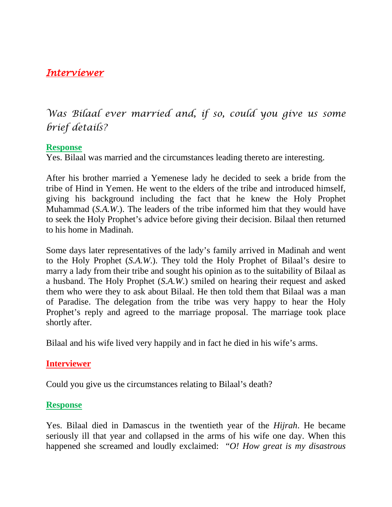#### *Interviewer*

*Was Bilaal ever married and, if so, could you give us some brief details?*

#### **Response**

Yes. Bilaal was married and the circumstances leading thereto are interesting.

After his brother married a Yemenese lady he decided to seek a bride from the tribe of Hind in Yemen. He went to the elders of the tribe and introduced himself, giving his background including the fact that he knew the Holy Prophet Muhammad (*S.A.W*.). The leaders of the tribe informed him that they would have to seek the Holy Prophet's advice before giving their decision. Bilaal then returned to his home in Madinah.

Some days later representatives of the lady's family arrived in Madinah and went to the Holy Prophet (*S.A.W*.). They told the Holy Prophet of Bilaal's desire to marry a lady from their tribe and sought his opinion as to the suitability of Bilaal as a husband. The Holy Prophet (*S.A.W*.) smiled on hearing their request and asked them who were they to ask about Bilaal. He then told them that Bilaal was a man of Paradise. The delegation from the tribe was very happy to hear the Holy Prophet's reply and agreed to the marriage proposal. The marriage took place shortly after.

Bilaal and his wife lived very happily and in fact he died in his wife's arms.

#### **Interviewer**

Could you give us the circumstances relating to Bilaal's death?

#### **Response**

Yes. Bilaal died in Damascus in the twentieth year of the *Hijrah*. He became seriously ill that year and collapsed in the arms of his wife one day. When this happened she screamed and loudly exclaimed: "*O! How great is my disastrous*